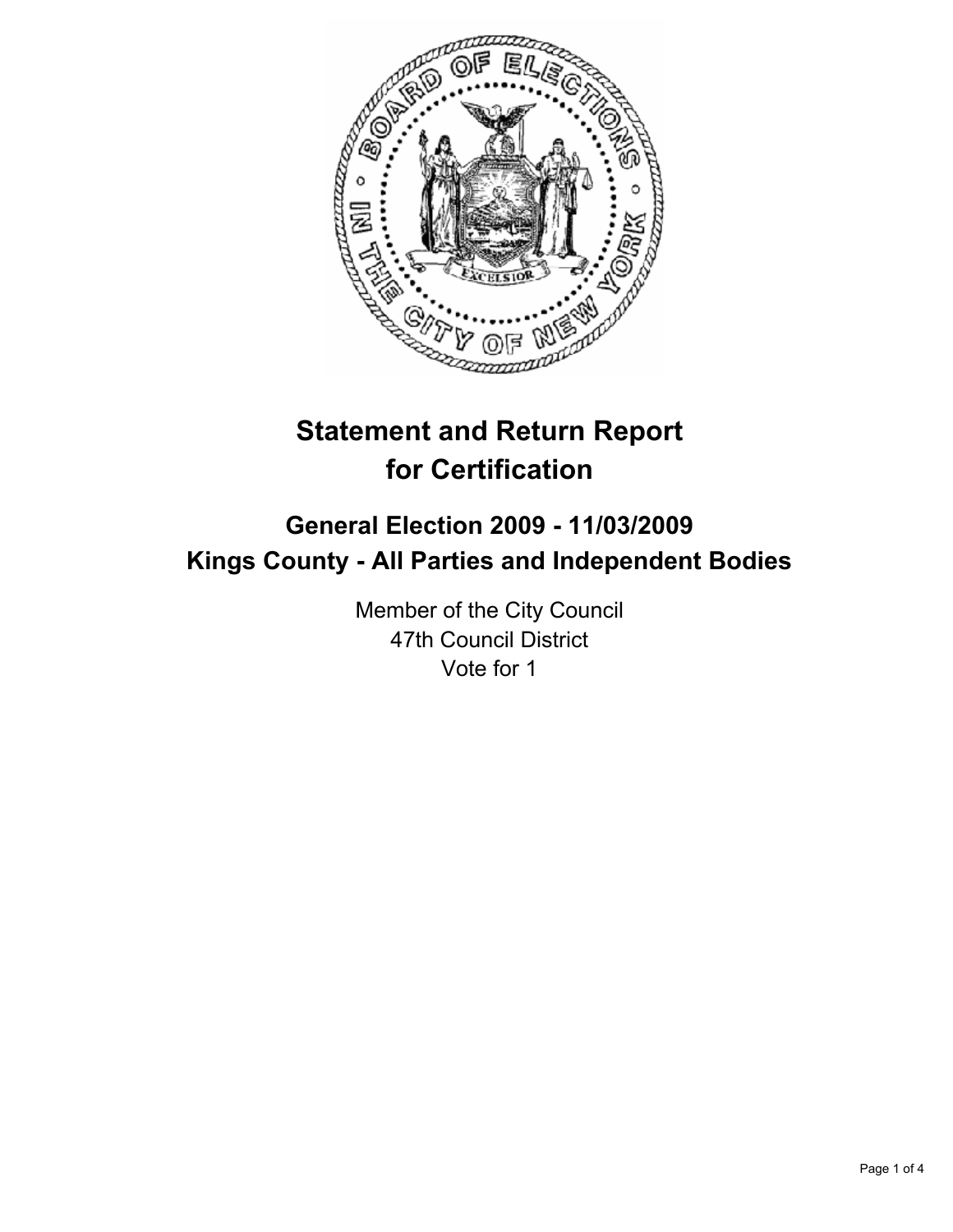

# **Statement and Return Report for Certification**

# **General Election 2009 - 11/03/2009 Kings County - All Parties and Independent Bodies**

Member of the City Council 47th Council District Vote for 1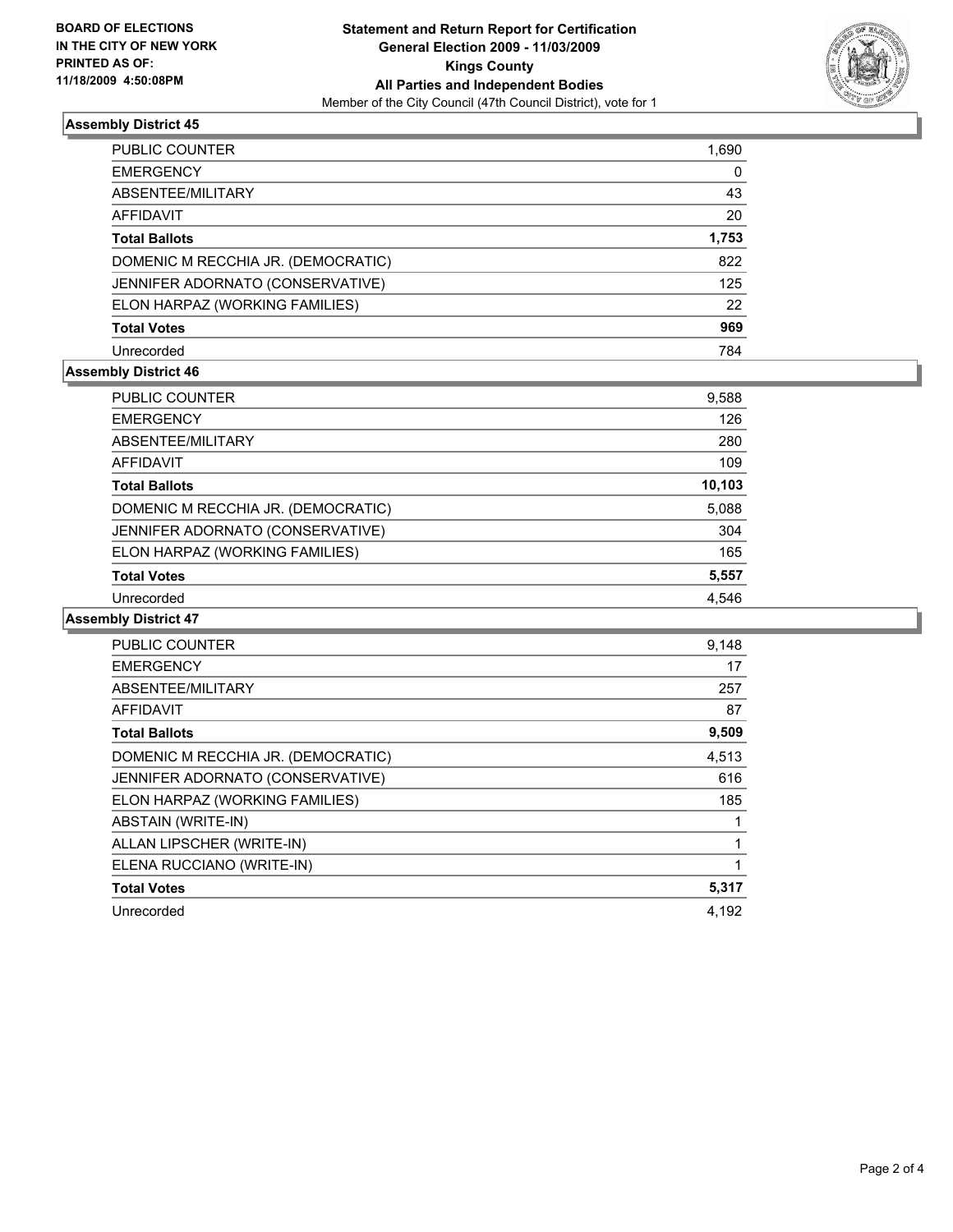

# **Assembly District 45**

| PUBLIC COUNTER                     | 1,690 |
|------------------------------------|-------|
| EMERGENCY                          | 0     |
| ABSENTEE/MILITARY                  | 43    |
| AFFIDAVIT                          | 20    |
| Total Ballots                      | 1,753 |
| DOMENIC M RECCHIA JR. (DEMOCRATIC) | 822   |
| JENNIFER ADORNATO (CONSERVATIVE)   | 125   |
| ELON HARPAZ (WORKING FAMILIES)     | 22    |
| <b>Total Votes</b>                 | 969   |
| Unrecorded                         | 784   |

## **Assembly District 46**

| PUBLIC COUNTER                     | 9,588  |
|------------------------------------|--------|
| <b>EMERGENCY</b>                   | 126    |
| ABSENTEE/MILITARY                  | 280    |
| AFFIDAVIT                          | 109    |
| <b>Total Ballots</b>               | 10,103 |
| DOMENIC M RECCHIA JR. (DEMOCRATIC) | 5,088  |
| JENNIFER ADORNATO (CONSERVATIVE)   | 304    |
| ELON HARPAZ (WORKING FAMILIES)     | 165    |
| <b>Total Votes</b>                 | 5,557  |
| Unrecorded                         | 4.546  |

#### **Assembly District 47**

| <b>PUBLIC COUNTER</b>              | 9,148 |
|------------------------------------|-------|
| <b>EMERGENCY</b>                   | 17    |
| ABSENTEE/MILITARY                  | 257   |
| AFFIDAVIT                          | 87    |
| <b>Total Ballots</b>               | 9,509 |
| DOMENIC M RECCHIA JR. (DEMOCRATIC) | 4,513 |
| JENNIFER ADORNATO (CONSERVATIVE)   | 616   |
| ELON HARPAZ (WORKING FAMILIES)     | 185   |
| ABSTAIN (WRITE-IN)                 |       |
| ALLAN LIPSCHER (WRITE-IN)          |       |
| ELENA RUCCIANO (WRITE-IN)          |       |
| <b>Total Votes</b>                 | 5,317 |
| Unrecorded                         | 4.192 |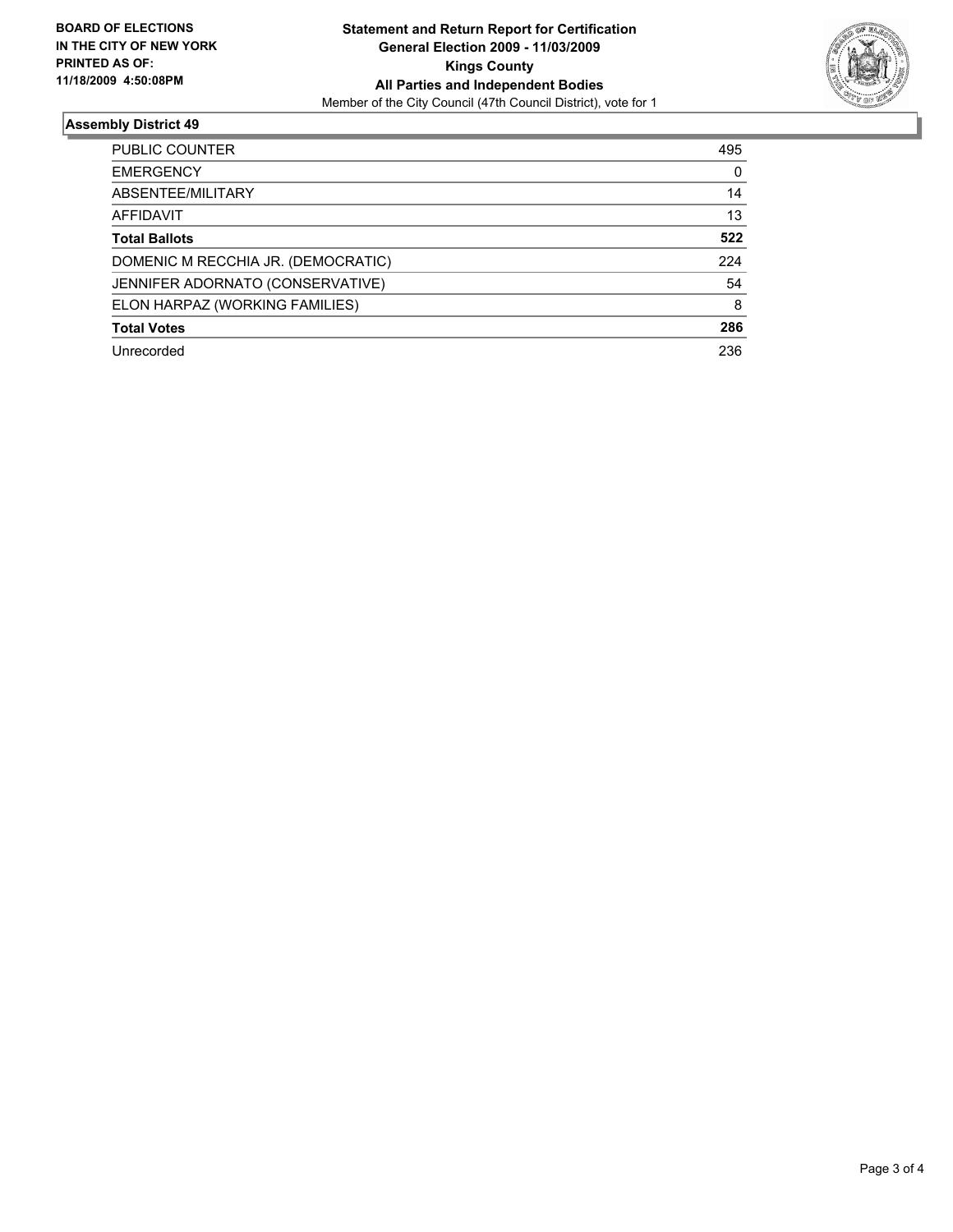

## **Assembly District 49**

| <b>PUBLIC COUNTER</b>              | 495 |
|------------------------------------|-----|
| <b>EMERGENCY</b>                   | 0   |
| ABSENTEE/MILITARY                  | 14  |
| AFFIDAVIT                          | 13  |
| <b>Total Ballots</b>               | 522 |
| DOMENIC M RECCHIA JR. (DEMOCRATIC) | 224 |
| JENNIFER ADORNATO (CONSERVATIVE)   | 54  |
| ELON HARPAZ (WORKING FAMILIES)     | 8   |
| <b>Total Votes</b>                 | 286 |
| Unrecorded                         | 236 |